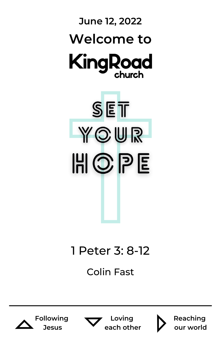

## 1 Peter 3: 8-12

Colin Fast







**Loving each other**



**Reaching our world**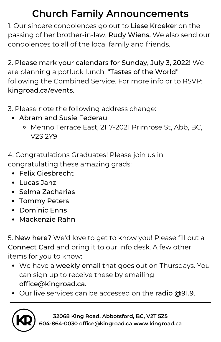### **Church Family Announcements**

1. Our sincere condolences go out to Liese Kroeker on the passing of her brother-in-law, Rudy Wiens. We also send our condolences to all of the local family and friends.

2. Please mark your calendars for Sunday, July 3, 2022! We are planning a potluck lunch, "Tastes of the World" following the Combined Service. For more info or to RSVP: kingroad.ca/events.

3. Please note the following address change:

- Abram and Susie Federau
	- o Menno Terrace East, 2117-2021 Primrose St, Abb, BC, V2S 2Y9

4. Congratulations Graduates! Please join us in congratulating these amazing grads:

- Felix Giesbrecht
- Lucas Janz
- Selma Zacharias
- Tommy Peters
- Dominic Enns
- Mackenzie Rahn

5. New here? We'd love to get to know you! Please fill out a Connect Card and bring it to our info desk. A few other items for you to know:

- We have a weekly email that goes out on Thursdays. You can sign up to receive these by emailing office@kingroad.ca.
- Our live services can be accessed on the radio @91.9.



**32068 King Road, Abbotsford, BC, V2T 5Z5 604-864-0030 office@kingroad.ca www.kingroad.ca**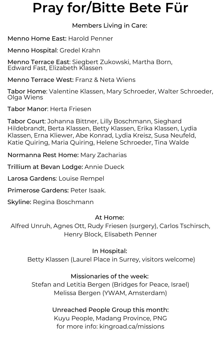## **Pray for/Bitte Bete Für**

#### Members Living in Care:

Menno Home East: Harold Penner

Menno Hospital: Gredel Krahn

Menno Terrace East: Siegbert Zukowski, Martha Born, Edward Fast, Elizabeth Klassen

Menno Terrace West: Franz & Neta Wiens

Tabor Home: Valentine Klassen, Mary Schroeder, Walter Schroeder, Olga Wiens

Tabor Manor: Herta Friesen

Tabor Court: Johanna Bittner, Lilly Boschmann, Sieghard Hildebrandt, Berta Klassen, Betty Klassen, Erika Klassen, Lydia Klassen, Erna Kliewer, Abe Konrad, Lydia Kreisz, Susa Neufeld, Katie Quiring, Maria Quiring, Helene Schroeder, Tina Walde

Normanna Rest Home: Mary Zacharias

Trillium at Bevan Lodge: Annie Dueck

Larosa Gardens: Louise Rempel

Primerose Gardens: Peter Isaak.

Skyline: Regina Boschmann

#### At Home:

Alfred Unruh, Agnes Ott, Rudy Friesen (surgery), Carlos Tschirsch, Henry Block, Elisabeth Penner

#### In Hospital:

Betty Klassen (Laurel Place in Surrey, visitors welcome)

#### Missionaries of the week:

Stefan and Letitia Bergen (Bridges for Peace, Israel) Melissa Bergen (YWAM, Amsterdam)

#### Unreached People Group this month:

Kuyu People, Madang Province, PNG for more info: kingroad.ca/missions